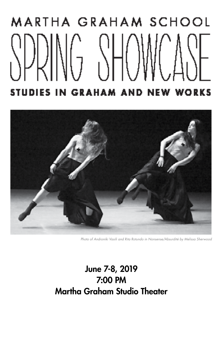# MARTHA GRAHAM SCHOOL STUDIES IN GRAHAM AND NEW WORKS



*Photo of Androniki Vasili and Rita Rotundo in Nonsense/Absurdité by Melissa Sherwood*

## June 7-8, 2019 7:00 PM Martha Graham Studio Theater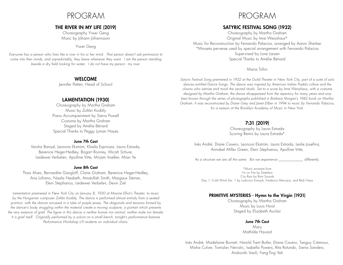## PROGRAM

#### THE RIVER IN MY LIFE (2019)

Choreography Yiwei Geng Music by Jóhann Jóhannsson

#### Yiwei Geng

*Everyone has a person who lives like a river in his or her mind. That person doesn't ask permission to come into their minds, and unpredictably, they leave whenever they want. I am the person standing beside a dry field looking for water. I do not have my person - my river.*

#### WELCOME

Jennifer Patten, Head of School

#### LAMENTATION (1930)

Choreography by Martha Graham Music by Zoltán Kodály Piano Accompaniment by Sierra Powell Costume by Martha Graham Staged by Amélie Bénard Special Thanks to Peggy Lyman Hayes

#### June 7th Cast

Varsha Bansal, Leonora Ekström, Khaila Espinoza, Laura Estrada, Berenice Heger-Hedløy, Bogart Rooney, Micah Schure, Liedewei Verbelen, Apolline Vitte, Mirjam Voelker, Mian Ye

#### June 8th Cast

Thais Alves, Bernardita Gangloff, Claire Graham, Berenice Heger-Hedløy, Ana Lofrano, Naala Nesbeth, Amatullah Smith, Margaux Steiner, Eleni Stephanou, Liedewei Verbelen, Devin Ziel

*Lamentation premiered in New York City on January 8, 1930 at Maxine Elliot's Theater, to music by the Hungarian composer Zoltán Kodály. The dance is performed almost entirely from a seated position, with the dancer encased in a tube of purple jersey. The diagonals and tensions formed by the dancer's body struggling within the material create a moving sculpture, a portrait which presents the very essence of grief. The figure in this dance is neither human nor animal, neither male nor female: It is grief itself. Originally performed by a soloist on a small bench, tonight's performance features Performance Workshop I/II students on individual chairs.*

## PROGRAM

#### SATYRIC FESTIVAL SONG (1932)

Choreography by Martha Graham Original Music by Imre Weisshaus\* Music for Reconstruction by Fernando Palacios, arranged by Aaron Sherber \*Minueta perverse used by special arrangement with Fernando Palacios Supervised by Lone Larsen Special Thanks to Amélie Bénard

#### Maria Tofini

*Satyric Festival Song premiered in 1932 at the Guild Theater in New York City, part of a suite of solo dances entitled Dance Songs. The dance was inspired by American Indian Pueblo culture and the clowns who satirize and mock the sacred rituals. Set to a score by Imre Weisshaus, with a costume designed by Martha Graham, the dance disappeared from the repertory for many years and was best known through the series of photographs published in Barbara Morgan's 1942 book on Martha Graham. It was reconstructed by Diane Grey and Janet Eilber in 1994 to music by Fernando Palacios, for a season at the Brooklyn Academy of Music in New York.*

#### 7:31 (2019)

Choreography by Laura Estrada Scoring Remix by Laura Estrada\*

Inès André, Diane Cavero, Leonora Ekström, Laura Estrada, Leslie Josefina, Annabel Miller Green, Eleni Stephanou, Apolline Vitte,

*As a structure we are all the same. But we experience \_\_\_\_\_\_\_\_\_\_\_\_\_ differently.*

\*Music excerpts from I'm on Fire by Stateless City Rain by Rain Sounds Day 1: Cold Wind Var. 1 by Ludovico Einaudi, Frederico Mecozzi, and Redi Hasa

#### PRIMITIVE MYSTERIES - Hymn to the Virgin (1931)

Choreography by Martha Graham Music by Louis Horst Staged by Elizabeth Auclair

#### June 7th Cast

Mary Mathilde Havard

Inés Andrè, Madelaine Burnett, Harold Trent Butler, Diane Cavero, Tanguy Crémoux, Misha Culver, Tomislav Nevistic, Isabella Powers, Rita Rotundo, Sierra Sanders, Androniki Vasili, Fang-Ting Yeh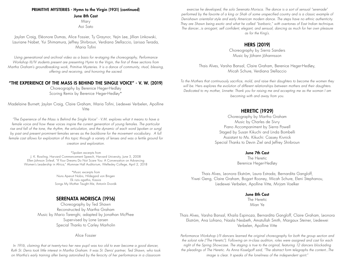#### PRIMITIVE MYSTERIES - Hymn to the Virgin (1931) (continued)

June 8th Cast

Mary Aoi Sato

Jaylan Craig, Eléonore Dumas, Alice Fossier, Ty Graynor, Yejin Lee, Jillian Linkowski, Lauriane Nabet, Yui Shimamura, Jeffrey Shirbroun, Verdiana Stellaccio, Larissa Terada, Maria Tofini

*Using generational and archival video as a basis for re-staging the choreography, Performance Workshop III/IV students present are presenting Hymn to the Virgin, the first of three sections from Martha Graham's groundbreaking work, Primitive Mysteries. It is a dance of community, ritual, blessing, offering and receiving, and honoring the sacred.*

#### "THE EXPERIENCE OF THE MASS IS BEHIND THE SINGLE VOICE" - V. W. (2019)

Choreography by Berenice Heger-Hedløy Scoring Remix by Berenice Heger-Hedløy\*

Madelaine Burnett, Jaylan Craig, Claire Graham, Maria Tofini, Liedewei Verbelen, Apolline Vitte

*"The Experience of the Mass is Behind the Single Voice" - V.M. explores what it means to have a female voice and how these voices inspire the current generation of young females. The particular*  rise and fall of the tone, the rhythm, the articulation, and the dynamic of each word (spoken or sung) by past and present prominent females serves as the backbone for the movement vocabulary. A full *female cast allows for exploration of this topic through a variety of lenses and was a fertile ground for creation and exploration.*

\*Spoken excerpts from J. K. Rowling, Harvard Commencement Speech, Harvard University, June 5, 2008 Ellen Johnson Sirleaf, "If Your Dreams Do Not Scare You: A Conversation on Advancing Women's Leadership in Africa," Alumnae Hall Auditorium, Wellesley College, April 2, 2018

> \*Music excerpts from Nuns Aperuit Nobis, Hildegard von Bingen Ek rizis agathis, Kassia Songs My Mother Taught Me, Antonín Dvorák

#### SERENATA MORISCA (1916)

Choreography by Ted Shawn Reconstructed by Martha Graham Music by Mario Tarenghi, adapted by Jonathan McPhee Supervised by Lone Larsen Special Thanks to Carley Marholin

Alice Fossier

*In 1916, claiming that at twenty-two her new pupil was too old to ever become a good dancer, Ruth St. Denis took little interest in Martha Graham. It was St. Denis' partner, Ted Shawn, who took on Martha's early training after being astonished by the ferocity of her performance in a classroom* 

*exercise he developed, the solo Serenata Morisca. The dance is a sort of sensual "serenade" performed by the favorite of a king or Shah of some unspecified country and is a classic example of Denishawn orientalist style and early American modern dance. The steps have no ethnic authenticity. They are Shawn being exotic and what he called "barbaric," with overtones of East Indian technique. The dancer...is arrogant, self confident, elegant, and sensual, dancing as much for her own pleasure as for the King's.*

#### HERS (2019)

Choreography by Sierra Sanders Music by Jóhann Jóhannsson

Thais Alves, Varsha Bansal, Claire Graham, Berenice Heger-Hedløy, Micah Schure, Verdiana Stellaccio

*To the Mothers that continuously sacrifice, mold, and raise their daughters to become the women they will be.* Hers *explores the evolution of different relationships between mothers and their daughters. Dedicated to my mother, Linnette: Thank you for raising me and accepting me as the woman I am becoming with and away from you.*

#### HERETIC (1929)

Choreography by Martha Graham Music by Charles de Sivry Piano Accompaniment by Sierra Powell Staged by Susan Kikuchi and Linda Bombelli Assistant to Ms. Kikuchi: Cassey Kivnick Special Thanks to Devin Ziel and Jeffrey Shirbroun

#### June 7th Cast

The Heretic Berenice Heger-Hedløy

Thais Alves, Leonora Ekström, Laura Estrada, Bernardita Gangloff, Yiwei Geng, Claire Graham, Bogart Rooney, Micah Schure, Eleni Stephanou, Liedewei Verbelen, Apolline Vitte, Mirjam Voelker

#### June 8th Cast

The Heretic Mian Ye

Thais Alves, Varsha Bansal, Khaila Espinoza, Bernardita Gangloff, Claire Graham, Leonora Ekström, Ana Lofrano, Naala Nesbeth, Amatullah Smith, Margaux Steiner, Liedewei Verbelen, Apolline Vitte

*Performance Workshop I/II dancers learned the original choreography for both the group section and the soloist role ("The Heretic"). Following an in-class audition, roles were assigned and cast for each night of the Spring Showcase. The staging is true to the original, featuring 12 dancers blockading the pleadings of The Heretic. As Anna Kisselgoff said, "The abstract form telegraphs the content...The image is clear. It speaks of the loneliness of the independent spirit."*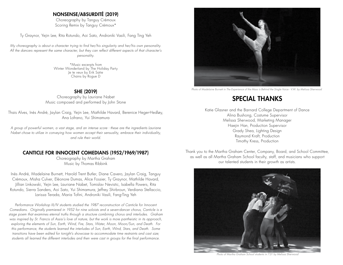#### NONSENSE/ABSURDITÉ (2019)

Choreography by Tanguy Crémoux Scoring Remix by Tanguy Crémoux\*

Ty Graynor, Yejin Lee, Rita Rotundo, Aoi Sato, Androniki Vasili, Fang Ting Yeh

*My choreography is about a character trying to find her/his singularity and her/his own personality. All the dancers represent the same character, but they can reflect different aspects of that character's personality.*

> \*Music excerpts from Winter Wonderland by The Holiday Party Je te veux by Erik Satie Chains by Rogue D

#### SHE (2019)

Choreography by Lauriane Nabet Music composed and performed by John Stone

Thais Alves, Inès André, Jaylan Craig, Yejin Lee, Mathilde Havard, Berenice Heger-Hedløy, Ana Lofrano, Yui Shimamura

*A group of powerful women, a vast stage, and an intense score - these are the ingredients Lauriane Nabet chose to utilize in conveying how women accept their sensuality, embrace their individuality, and rule their world.*

#### CANTICLE FOR INNOCENT COMEDIANS (1952/1969/1987)

Choreography by Martha Graham Music by Thomas Ribbink

Inès André, Madelaine Burnett, Harold Trent Butler, Diane Cavero, Jaylan Craig, Tanguy Crémoux, Misha Culver, Eléonore Dumas, Alice Fossier, Ty Graynor, Mathilde Havard, Jillian Linkowski, Yejin Lee, Lauriane Nabet, Tomislav Nevistic, Isabella Powers, Rita Rotundo, Sierra Sanders, Aoi Sato, Yui Shimamura, Jeffrey Shirbroun, Verdiana Stellaccio, Larissa Terada, Maria Tofini, Androniki Vasili, Fang-Ting Yeh

*Performance Workshop III/IV students studied the 1987 reconstruction of Canticle for Innocent Comedians. Originally premiered in 1952 for nine soloists and a seven-dancer chorus, Canticle is a stage poem that examines eternal truths through a structure combining chorus and interludes. Graham was inspired by St. Francis of Assisi's love of nature, but the work is more pantheistic in its approach, exploring the elements of Sun, Earth, Wind, Fire, Stars, Water, Moon, Moon/Sun, and Death. For this performance, the students learned the interludes of Sun, Earth, Wind, Stars, and Death. Some transitions have been edited for tonight's showcase to accommodate time restraints and cast size; students all learned the different interludes and then were cast in groups for the final performance.*



*Photo of Madelaine Burnett in The Experience of the Mass is Behind the Single Voice - V.W. by Melissa Sherwood*

## SPECIAL THANKS

Katie Glasner and the Barnard College Department of Dance Alina Bushong, Costume Supervisor Melissa Sherwood, Marketing Manager Haejin Han, Production Supervisor Grady Shea, Lighting Design Raymond Kraft, Production Timothy Kress, Production

Thank you to the Martha Graham Center, Company, Board, and School Committee, as well as all Martha Graham School faculty, staff, and musicians who support our talented students in their growth as artists.



*Photo of Martha Graham School students in 7:31 by Melissa Sherwood*